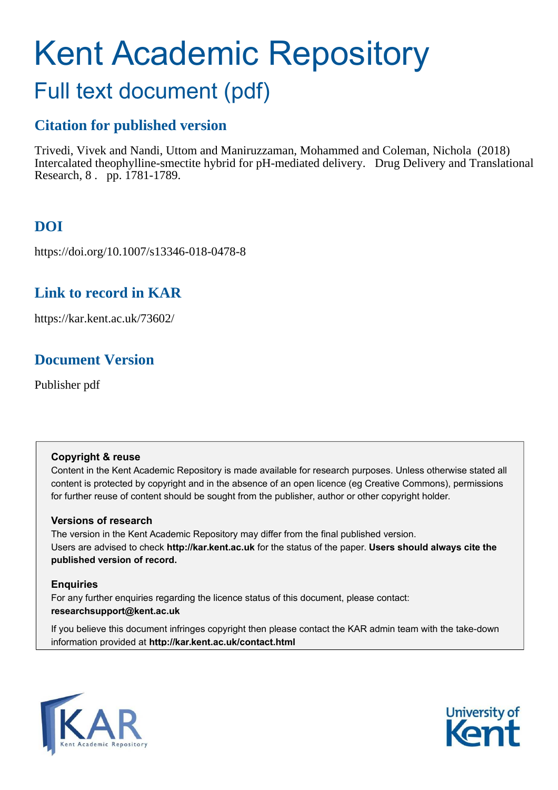# Kent Academic Repository

## Full text document (pdf)

## **Citation for published version**

Trivedi, Vivek and Nandi, Uttom and Maniruzzaman, Mohammed and Coleman, Nichola (2018) Intercalated theophylline-smectite hybrid for pH-mediated delivery. Drug Delivery and Translational Research, 8 . pp. 1781-1789.

## **DOI**

https://doi.org/10.1007/s13346-018-0478-8

## **Link to record in KAR**

https://kar.kent.ac.uk/73602/

## **Document Version**

Publisher pdf

#### **Copyright & reuse**

Content in the Kent Academic Repository is made available for research purposes. Unless otherwise stated all content is protected by copyright and in the absence of an open licence (eg Creative Commons), permissions for further reuse of content should be sought from the publisher, author or other copyright holder.

#### **Versions of research**

The version in the Kent Academic Repository may differ from the final published version. Users are advised to check **http://kar.kent.ac.uk** for the status of the paper. **Users should always cite the published version of record.**

#### **Enquiries**

For any further enquiries regarding the licence status of this document, please contact: **researchsupport@kent.ac.uk**

If you believe this document infringes copyright then please contact the KAR admin team with the take-down information provided at **http://kar.kent.ac.uk/contact.html**



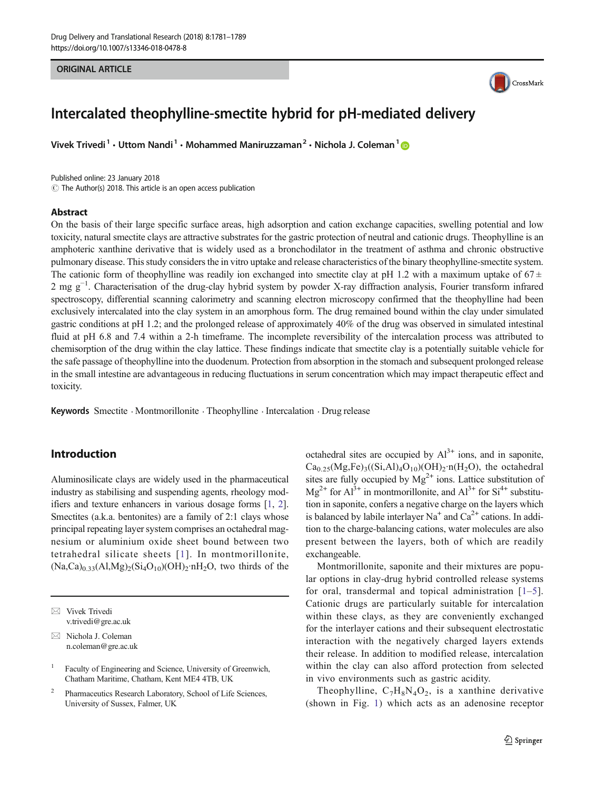#### ORIGINAL ARTICLE



### Intercalated theophylline-smectite hybrid for pH-mediated delivery

Vivek Trivedi<sup>1</sup> • Uttom Nandi<sup>1</sup> • Mohammed Maniruzzaman<sup>2</sup> • Nichola J. Coleman<sup>1</sup>

Published online: 23 January 2018  $\odot$  The Author(s) 2018. This article is an open access publication

#### Abstract

On the basis of their large specific surface areas, high adsorption and cation exchange capacities, swelling potential and low toxicity, natural smectite clays are attractive substrates for the gastric protection of neutral and cationic drugs. Theophylline is an amphoteric xanthine derivative that is widely used as a bronchodilator in the treatment of asthma and chronic obstructive pulmonary disease. This study considers the in vitro uptake and release characteristics of the binary theophylline-smectite system. The cationic form of theophylline was readily ion exchanged into smectite clay at pH 1.2 with a maximum uptake of  $67 \pm$ 2 mg g<sup>-1</sup>. Characterisation of the drug-clay hybrid system by powder X-ray diffraction analysis, Fourier transform infrared spectroscopy, differential scanning calorimetry and scanning electron microscopy confirmed that the theophylline had been exclusively intercalated into the clay system in an amorphous form. The drug remained bound within the clay under simulated gastric conditions at pH 1.2; and the prolonged release of approximately 40% of the drug was observed in simulated intestinal fluid at pH 6.8 and 7.4 within a 2-h timeframe. The incomplete reversibility of the intercalation process was attributed to chemisorption of the drug within the clay lattice. These findings indicate that smectite clay is a potentially suitable vehicle for the safe passage of theophylline into the duodenum. Protection from absorption in the stomach and subsequent prolonged release in the small intestine are advantageous in reducing fluctuations in serum concentration which may impact therapeutic effect and toxicity.

Keywords Smectite · Montmorillonite · Theophylline · Intercalation · Drug release

#### Introduction

Aluminosilicate clays are widely used in the pharmaceutical industry as stabilising and suspending agents, rheology modifiers and texture enhancers in various dosage forms [[1,](#page-7-0) [2\]](#page-7-0). Smectites (a.k.a. bentonites) are a family of 2:1 clays whose principal repeating layer system comprises an octahedral magnesium or aluminium oxide sheet bound between two tetrahedral silicate sheets [[1\]](#page-7-0). In montmorillonite,  $(Na,Ca)_{0.33}(Al,Mg)_{2}(Si<sub>4</sub>O<sub>10</sub>)(OH)<sub>2</sub>·nH<sub>2</sub>O$ , two thirds of the

2 Pharmaceutics Research Laboratory, School of Life Sciences, University of Sussex, Falmer, UK

octahedral sites are occupied by  $Al^{3+}$  ions, and in saponite,  $Ca<sub>0.25</sub>(Mg,Fe)<sub>3</sub>((Si,Al)<sub>4</sub>O<sub>10</sub>)(OH)<sub>2</sub>·n(H<sub>2</sub>O),$  the octahedral sites are fully occupied by  $Mg^{2+}$  ions. Lattice substitution of  $Mg^{2+}$  for  $Al^{3+}$  in montmorillonite, and  $Al^{3+}$  for  $Si^{4+}$  substitution in saponite, confers a negative charge on the layers which is balanced by labile interlayer Na<sup>+</sup> and  $Ca^{2+}$  cations. In addition to the charge-balancing cations, water molecules are also present between the layers, both of which are readily exchangeable.

Montmorillonite, saponite and their mixtures are popular options in clay-drug hybrid controlled release systems for oral, transdermal and topical administration  $[1-5]$  $[1-5]$  $[1-5]$  $[1-5]$  $[1-5]$ . Cationic drugs are particularly suitable for intercalation within these clays, as they are conveniently exchanged for the interlayer cations and their subsequent electrostatic interaction with the negatively charged layers extends their release. In addition to modified release, intercalation within the clay can also afford protection from selected in vivo environments such as gastric acidity.

Theophylline,  $C_7H_8N_4O_2$ , is a xanthine derivative (shown in Fig. 1) which acts as an adenosine receptor

 $\boxtimes$  Vivek Trivedi [v.trivedi@gre.ac.uk](mailto:n.coleman@gre.ac.uk)

 $\boxtimes$  Nichola J. Coleman [n.coleman@gre.ac.uk](mailto:n.coleman@gre.ac.uk)

<sup>1</sup> Faculty of Engineering and Science, University of Greenwich, Chatham Maritime, Chatham, Kent ME4 4TB, UK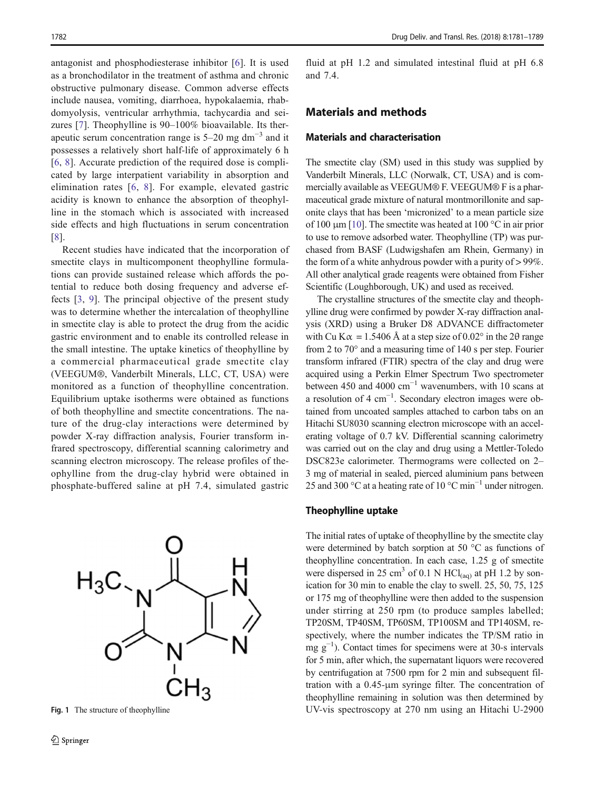<span id="page-2-0"></span>antagonist and phosphodiesterase inhibitor [\[6](#page-7-0)]. It is used as a bronchodilator in the treatment of asthma and chronic obstructive pulmonary disease. Common adverse effects include nausea, vomiting, diarrhoea, hypokalaemia, rhabdomyolysis, ventricular arrhythmia, tachycardia and seizures [[7\]](#page-7-0). Theophylline is 90–100% bioavailable. Its therapeutic serum concentration range is  $5-20$  mg dm<sup>-3</sup> and it possesses a relatively short half-life of approximately 6 h [\[6](#page-7-0), [8](#page-7-0)]. Accurate prediction of the required dose is complicated by large interpatient variability in absorption and elimination rates [\[6,](#page-7-0) [8](#page-7-0)]. For example, elevated gastric acidity is known to enhance the absorption of theophylline in the stomach which is associated with increased side effects and high fluctuations in serum concentration [\[8](#page-7-0)].

Recent studies have indicated that the incorporation of smectite clays in multicomponent theophylline formulations can provide sustained release which affords the potential to reduce both dosing frequency and adverse effects [\[3](#page-7-0), [9](#page-7-0)]. The principal objective of the present study was to determine whether the intercalation of theophylline in smectite clay is able to protect the drug from the acidic gastric environment and to enable its controlled release in the small intestine. The uptake kinetics of theophylline by a commercial pharmaceutical grade smectite clay (VEEGUM®, Vanderbilt Minerals, LLC, CT, USA) were monitored as a function of theophylline concentration. Equilibrium uptake isotherms were obtained as functions of both theophylline and smectite concentrations. The nature of the drug-clay interactions were determined by powder X-ray diffraction analysis, Fourier transform infrared spectroscopy, differential scanning calorimetry and scanning electron microscopy. The release profiles of theophylline from the drug-clay hybrid were obtained in phosphate-buffered saline at pH 7.4, simulated gastric



fluid at pH 1.2 and simulated intestinal fluid at pH 6.8 and 7.4.

#### Materials and methods

#### Materials and characterisation

The smectite clay (SM) used in this study was supplied by Vanderbilt Minerals, LLC (Norwalk, CT, USA) and is commercially available as VEEGUM® F. VEEGUM® F is a pharmaceutical grade mixture of natural montmorillonite and saponite clays that has been 'micronized' to a mean particle size of 100 μm [\[10\]](#page-7-0). The smectite was heated at 100 °C in air prior to use to remove adsorbed water. Theophylline (TP) was purchased from BASF (Ludwigshafen am Rhein, Germany) in the form of a white anhydrous powder with a purity of > 99%. All other analytical grade reagents were obtained from Fisher Scientific (Loughborough, UK) and used as received.

The crystalline structures of the smectite clay and theophylline drug were confirmed by powder X-ray diffraction analysis (XRD) using a Bruker D8 ADVANCE diffractometer with Cu K $\alpha$  = 1.5406 Å at a step size of 0.02° in the 20 range from 2 to 70° and a measuring time of 140 s per step. Fourier transform infrared (FTIR) spectra of the clay and drug were acquired using a Perkin Elmer Spectrum Two spectrometer between 450 and 4000  $cm^{-1}$  wavenumbers, with 10 scans at a resolution of 4 cm−<sup>1</sup> . Secondary electron images were obtained from uncoated samples attached to carbon tabs on an Hitachi SU8030 scanning electron microscope with an accelerating voltage of 0.7 kV. Differential scanning calorimetry was carried out on the clay and drug using a Mettler-Toledo DSC823e calorimeter. Thermograms were collected on 2– 3 mg of material in sealed, pierced aluminium pans between 25 and 300 °C at a heating rate of 10 °C min<sup>-1</sup> under nitrogen.

#### Theophylline uptake

The initial rates of uptake of theophylline by the smectite clay were determined by batch sorption at 50 °C as functions of theophylline concentration. In each case, 1.25 g of smectite were dispersed in 25 cm<sup>3</sup> of 0.1 N HCl<sub>(aq)</sub> at pH 1.2 by sonication for 30 min to enable the clay to swell. 25, 50, 75, 125 or 175 mg of theophylline were then added to the suspension under stirring at 250 rpm (to produce samples labelled; TP20SM, TP40SM, TP60SM, TP100SM and TP140SM, respectively, where the number indicates the TP/SM ratio in  $\text{mg g}^{-1}$ ). Contact times for specimens were at 30-s intervals for 5 min, after which, the supernatant liquors were recovered by centrifugation at 7500 rpm for 2 min and subsequent filtration with a 0.45-μm syringe filter. The concentration of theophylline remaining in solution was then determined by Fig. 1 The structure of theophylline UV-vis spectroscopy at 270 nm using an Hitachi U-2900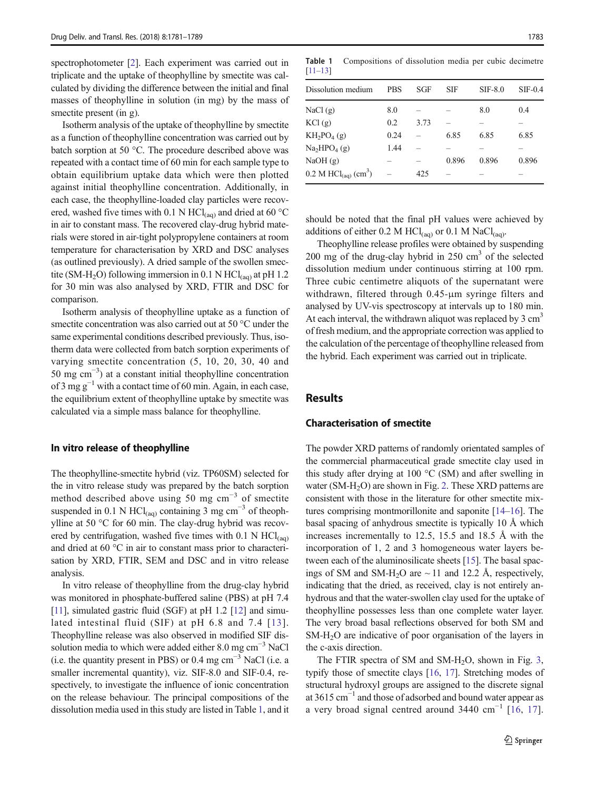<span id="page-3-0"></span>spectrophotometer [[2](#page-7-0)]. Each experiment was carried out in triplicate and the uptake of theophylline by smectite was calculated by dividing the difference between the initial and final masses of theophylline in solution (in mg) by the mass of smectite present (in g).

Isotherm analysis of the uptake of theophylline by smectite as a function of theophylline concentration was carried out by batch sorption at 50 °C. The procedure described above was repeated with a contact time of 60 min for each sample type to obtain equilibrium uptake data which were then plotted against initial theophylline concentration. Additionally, in each case, the theophylline-loaded clay particles were recovered, washed five times with 0.1 N HCl<sub>(aq)</sub> and dried at 60 °C in air to constant mass. The recovered clay-drug hybrid materials were stored in air-tight polypropylene containers at room temperature for characterisation by XRD and DSC analyses (as outlined previously). A dried sample of the swollen smectite (SM-H<sub>2</sub>O) following immersion in 0.1 N HCl<sub>(aq)</sub> at pH 1.2 for 30 min was also analysed by XRD, FTIR and DSC for comparison.

Isotherm analysis of theophylline uptake as a function of smectite concentration was also carried out at 50 °C under the same experimental conditions described previously. Thus, isotherm data were collected from batch sorption experiments of varying smectite concentration (5, 10, 20, 30, 40 and 50 mg cm−<sup>3</sup> ) at a constant initial theophylline concentration of 3 mg  $g^{-1}$  with a contact time of 60 min. Again, in each case, the equilibrium extent of theophylline uptake by smectite was calculated via a simple mass balance for theophylline.

#### In vitro release of theophylline

The theophylline-smectite hybrid (viz. TP60SM) selected for the in vitro release study was prepared by the batch sorption method described above using 50 mg cm<sup>-3</sup> of smectite suspended in 0.1 N HCl<sub>(aq)</sub> containing 3 mg cm<sup>-3</sup> of theophylline at 50 °C for 60 min. The clay-drug hybrid was recovered by centrifugation, washed five times with  $0.1$  N HCl(aq) and dried at 60 °C in air to constant mass prior to characterisation by XRD, FTIR, SEM and DSC and in vitro release analysis.

In vitro release of theophylline from the drug-clay hybrid was monitored in phosphate-buffered saline (PBS) at pH 7.4 [\[11\]](#page-7-0), simulated gastric fluid (SGF) at pH 1.2 [[12\]](#page-7-0) and simulated intestinal fluid (SIF) at pH 6.8 and 7.4 [[13\]](#page-7-0). Theophylline release was also observed in modified SIF dissolution media to which were added either  $8.0 \text{ mg cm}^{-3}$  NaCl (i.e. the quantity present in PBS) or 0.4 mg  $cm^{-3}$  NaCl (i.e. a smaller incremental quantity), viz. SIF-8.0 and SIF-0.4, respectively, to investigate the influence of ionic concentration on the release behaviour. The principal compositions of the dissolution media used in this study are listed in Table [1](#page-2-0), and it

Table 1 Compositions of dissolution media per cubic decimetre [[11](#page-7-0)–[13](#page-7-0)]

| Dissolution medium                             | <b>PBS</b> | SGF  | <b>SIF</b> | $SIF-8.0$ | $SIF-0.4$ |
|------------------------------------------------|------------|------|------------|-----------|-----------|
| NaCl(g)                                        | 8.0        |      |            | 8.0       | 0.4       |
| KCl(g)                                         | 0.2        | 3.73 |            |           |           |
| $KH_2PO_4(g)$                                  | 0.24       |      | 6.85       | 6.85      | 6.85      |
| Na <sub>2</sub> HPO <sub>4</sub> (g)           | 1.44       |      |            |           |           |
| NaOH(g)                                        |            |      | 0.896      | 0.896     | 0.896     |
| 0.2 M $\text{HCl}_{\text{(aq)}}\text{ (cm}^3)$ |            | 425  |            |           |           |
|                                                |            |      |            |           |           |

should be noted that the final pH values were achieved by additions of either 0.2 M  $HCl_{(aq)}$  or 0.1 M NaCl<sub>(aq)</sub>.

Theophylline release profiles were obtained by suspending 200 mg of the drug-clay hybrid in 250 cm<sup>3</sup> of the selected dissolution medium under continuous stirring at 100 rpm. Three cubic centimetre aliquots of the supernatant were withdrawn, filtered through 0.45-μm syringe filters and analysed by UV-vis spectroscopy at intervals up to 180 min. At each interval, the withdrawn aliquot was replaced by 3 cm<sup>3</sup> of fresh medium, and the appropriate correction was applied to the calculation of the percentage of theophylline released from the hybrid. Each experiment was carried out in triplicate.

#### Results

#### Characterisation of smectite

The powder XRD patterns of randomly orientated samples of the commercial pharmaceutical grade smectite clay used in this study after drying at 100 °C (SM) and after swelling in water ( $SM-H<sub>2</sub>O$ ) are shown in Fig. 2. These XRD patterns are consistent with those in the literature for other smectite mixtures comprising montmorillonite and saponite [\[14](#page-7-0)–[16](#page-7-0)]. The basal spacing of anhydrous smectite is typically 10 Å which increases incrementally to 12.5, 15.5 and 18.5 Å with the incorporation of 1, 2 and 3 homogeneous water layers between each of the aluminosilicate sheets [\[15](#page-7-0)]. The basal spacings of SM and SM-H<sub>2</sub>O are  $\sim$  11 and 12.2 Å, respectively, indicating that the dried, as received, clay is not entirely anhydrous and that the water-swollen clay used for the uptake of theophylline possesses less than one complete water layer. The very broad basal reflections observed for both SM and SM-H2O are indicative of poor organisation of the layers in the c-axis direction.

The FTIR spectra of SM and SM-H<sub>2</sub>O, shown in Fig. 3, typify those of smectite clays [[16,](#page-7-0) [17](#page-7-0)]. Stretching modes of structural hydroxyl groups are assigned to the discrete signal at 3615 cm−<sup>1</sup> and those of adsorbed and bound water appear as a very broad signal centred around 3440 cm<sup>-1</sup> [\[16,](#page-7-0) [17](#page-7-0)].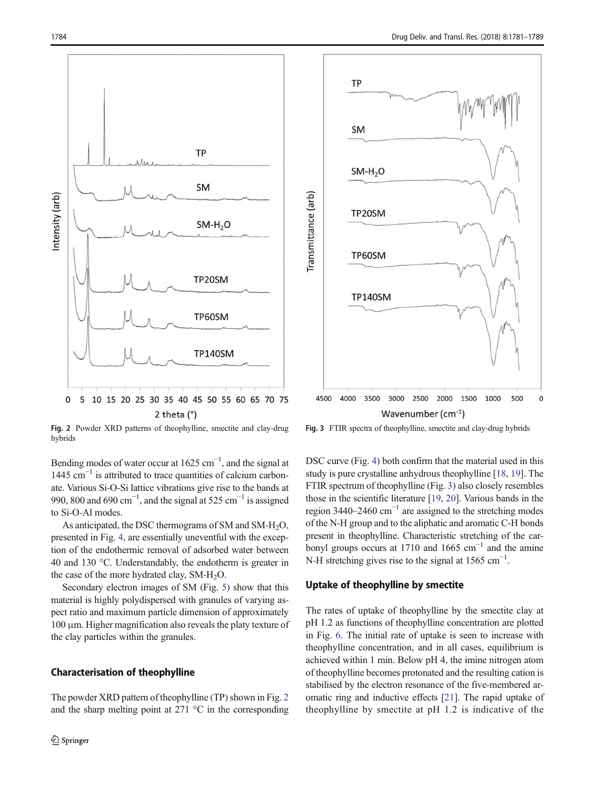<span id="page-4-0"></span>

Fig. 2 Powder XRD patterns of theophylline, smectite and clay-drug hybrids

Bending modes of water occur at  $1625 \text{ cm}^{-1}$ , and the signal at 1445 cm−<sup>1</sup> is attributed to trace quantities of calcium carbonate. Various Si-O-Si lattice vibrations give rise to the bands at 990, 800 and 690 cm<sup>-1</sup>, and the signal at 525 cm<sup>-1</sup> is assigned to Si-O-Al modes.

As anticipated, the DSC thermograms of SM and SM-H2O, presented in Fig. 4, are essentially uneventful with the exception of the endothermic removal of adsorbed water between 40 and 130 °C. Understandably, the endotherm is greater in the case of the more hydrated clay, SM-H<sub>2</sub>O.

Secondary electron images of SM (Fig. 5) show that this material is highly polydispersed with granules of varying aspect ratio and maximum particle dimension of approximately 100 μm. Higher magnification also reveals the platy texture of the clay particles within the granules.

#### Characterisation of theophylline

The powder XRD pattern of theophylline (TP) shown in Fig. [2](#page-3-0) and the sharp melting point at  $271 \text{ °C}$  in the corresponding



Fig. 3 FTIR spectra of theophylline, smectite and clay-drug hybrids

DSC curve (Fig. 4) both confirm that the material used in this study is pure crystalline anhydrous theophylline [[18,](#page-7-0) [19](#page-7-0)]. The FTIR spectrum of theophylline (Fig. [3](#page-3-0)) also closely resembles those in the scientific literature [[19,](#page-7-0) [20](#page-8-0)]. Various bands in the region 3440–2460 cm−<sup>1</sup> are assigned to the stretching modes of the N-H group and to the aliphatic and aromatic C-H bonds present in theophylline. Characteristic stretching of the carbonyl groups occurs at 1710 and 1665 cm<sup>-1</sup> and the amine N-H stretching gives rise to the signal at  $1565 \text{ cm}^{-1}$ .

#### Uptake of theophylline by smectite

The rates of uptake of theophylline by the smectite clay at pH 1.2 as functions of theophylline concentration are plotted in Fig. [6](#page-5-0). The initial rate of uptake is seen to increase with theophylline concentration, and in all cases, equilibrium is achieved within 1 min. Below pH 4, the imine nitrogen atom of theophylline becomes protonated and the resulting cation is stabilised by the electron resonance of the five-membered aromatic ring and inductive effects [\[21\]](#page-8-0). The rapid uptake of theophylline by smectite at pH 1.2 is indicative of the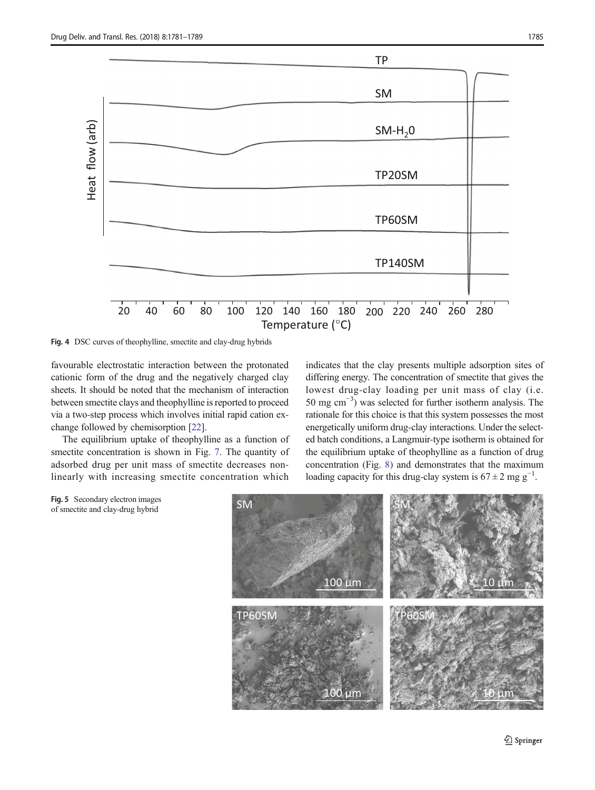<span id="page-5-0"></span>

Fig. 4 DSC curves of theophylline, smectite and clay-drug hybrids

favourable electrostatic interaction between the protonated cationic form of the drug and the negatively charged clay sheets. It should be noted that the mechanism of interaction between smectite clays and theophylline is reported to proceed via a two-step process which involves initial rapid cation exchange followed by chemisorption [[22\]](#page-8-0).

The equilibrium uptake of theophylline as a function of smectite concentration is shown in Fig. 7. The quantity of adsorbed drug per unit mass of smectite decreases nonlinearly with increasing smectite concentration which

indicates that the clay presents multiple adsorption sites of differing energy. The concentration of smectite that gives the lowest drug-clay loading per unit mass of clay (i.e. 50 mg cm−<sup>3</sup> ) was selected for further isotherm analysis. The rationale for this choice is that this system possesses the most energetically uniform drug-clay interactions. Under the selected batch conditions, a Langmuir-type isotherm is obtained for the equilibrium uptake of theophylline as a function of drug concentration (Fig. 8) and demonstrates that the maximum loading capacity for this drug-clay system is  $67 \pm 2$  mg g<sup>-1</sup>.



Fig. 5 Secondary electron images of smectite and clay-drug hybrid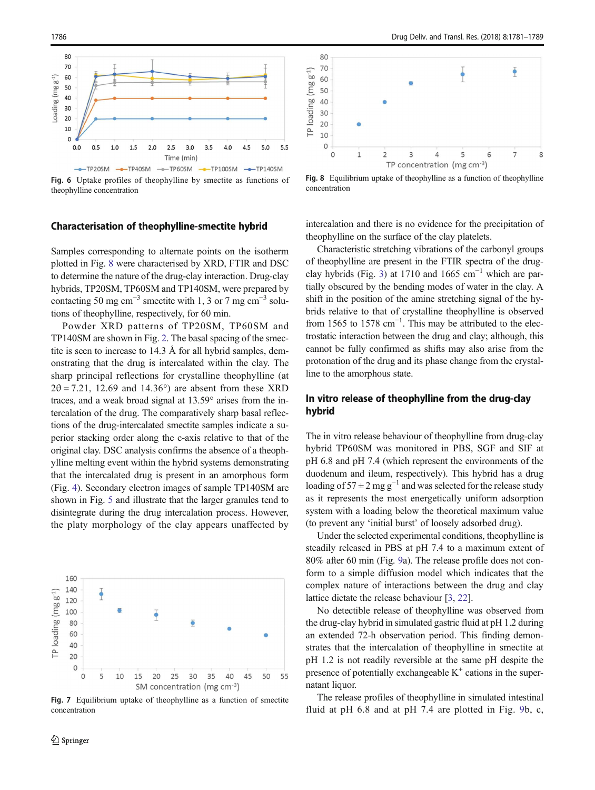<span id="page-6-0"></span>

Fig. 6 Uptake profiles of theophylline by smectite as functions of theophylline concentration

#### Characterisation of theophylline-smectite hybrid

Samples corresponding to alternate points on the isotherm plotted in Fig. [8](#page-5-0) were characterised by XRD, FTIR and DSC to determine the nature of the drug-clay interaction. Drug-clay hybrids, TP20SM, TP60SM and TP140SM, were prepared by contacting 50 mg cm<sup>-3</sup> smectite with 1, 3 or 7 mg cm<sup>-3</sup> solutions of theophylline, respectively, for 60 min.

Powder XRD patterns of TP20SM, TP60SM and TP140SM are shown in Fig. [2.](#page-3-0) The basal spacing of the smectite is seen to increase to 14.3 Å for all hybrid samples, demonstrating that the drug is intercalated within the clay. The sharp principal reflections for crystalline theophylline (at  $2\theta = 7.21$ , 12.69 and 14.36°) are absent from these XRD traces, and a weak broad signal at 13.59° arises from the intercalation of the drug. The comparatively sharp basal reflections of the drug-intercalated smectite samples indicate a superior stacking order along the c-axis relative to that of the original clay. DSC analysis confirms the absence of a theophylline melting event within the hybrid systems demonstrating that the intercalated drug is present in an amorphous form (Fig. [4](#page-4-0)). Secondary electron images of sample TP140SM are shown in Fig. [5](#page-4-0) and illustrate that the larger granules tend to disintegrate during the drug intercalation process. However, the platy morphology of the clay appears unaffected by



Fig. 7 Equilibrium uptake of theophylline as a function of smectite concentration



Fig. 8 Equilibrium uptake of theophylline as a function of theophylline concentration

intercalation and there is no evidence for the precipitation of theophylline on the surface of the clay platelets.

Characteristic stretching vibrations of the carbonyl groups of theophylline are present in the FTIR spectra of the drug-clay hybrids (Fig. [3](#page-3-0)) at 1710 and 1665 cm<sup>-1</sup> which are partially obscured by the bending modes of water in the clay. A shift in the position of the amine stretching signal of the hybrids relative to that of crystalline theophylline is observed from 1565 to 1578  $cm^{-1}$ . This may be attributed to the electrostatic interaction between the drug and clay; although, this cannot be fully confirmed as shifts may also arise from the protonation of the drug and its phase change from the crystalline to the amorphous state.

#### In vitro release of theophylline from the drug-clay hybrid

The in vitro release behaviour of theophylline from drug-clay hybrid TP60SM was monitored in PBS, SGF and SIF at pH 6.8 and pH 7.4 (which represent the environments of the duodenum and ileum, respectively). This hybrid has a drug loading of  $57 \pm 2$  mg g<sup>-1</sup> and was selected for the release study as it represents the most energetically uniform adsorption system with a loading below the theoretical maximum value (to prevent any 'initial burst' of loosely adsorbed drug).

Under the selected experimental conditions, theophylline is steadily released in PBS at pH 7.4 to a maximum extent of 80% after 60 min (Fig. 9a). The release profile does not conform to a simple diffusion model which indicates that the complex nature of interactions between the drug and clay lattice dictate the release behaviour [\[3](#page-7-0), [22](#page-8-0)].

No detectible release of theophylline was observed from the drug-clay hybrid in simulated gastric fluid at pH 1.2 during an extended 72-h observation period. This finding demonstrates that the intercalation of theophylline in smectite at pH 1.2 is not readily reversible at the same pH despite the presence of potentially exchangeable  $K^+$  cations in the supernatant liquor.

The release profiles of theophylline in simulated intestinal fluid at pH 6.8 and at pH 7.4 are plotted in Fig. 9b, c,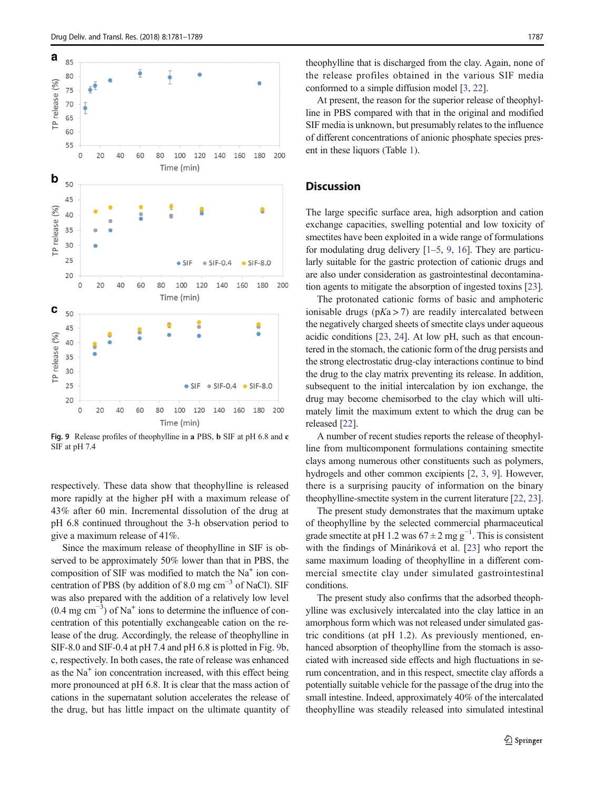<span id="page-7-0"></span>

Fig. 9 Release profiles of theophylline in a PBS, b SIF at pH 6.8 and c SIF at pH 7.4

respectively. These data show that theophylline is released more rapidly at the higher pH with a maximum release of 43% after 60 min. Incremental dissolution of the drug at pH 6.8 continued throughout the 3-h observation period to give a maximum release of 41%.

Since the maximum release of theophylline in SIF is observed to be approximately 50% lower than that in PBS, the composition of SIF was modified to match the Na<sup>+</sup> ion concentration of PBS (by addition of 8.0 mg cm<sup>-3</sup> of NaCl). SIF was also prepared with the addition of a relatively low level (0.4 mg cm−<sup>3</sup> ) of Na<sup>+</sup> ions to determine the influence of concentration of this potentially exchangeable cation on the release of the drug. Accordingly, the release of theophylline in SIF-8.0 and SIF-0.4 at pH 7.4 and pH 6.8 is plotted in Fig. [9b](#page-6-0), c, respectively. In both cases, the rate of release was enhanced as the Na<sup>+</sup> ion concentration increased, with this effect being more pronounced at pH 6.8. It is clear that the mass action of cations in the supernatant solution accelerates the release of the drug, but has little impact on the ultimate quantity of

theophylline that is discharged from the clay. Again, none of the release profiles obtained in the various SIF media conformed to a simple diffusion model [3, [22](#page-8-0)].

At present, the reason for the superior release of theophylline in PBS compared with that in the original and modified SIF media is unknown, but presumably relates to the influence of different concentrations of anionic phosphate species present in these liquors (Table [1\)](#page-2-0).

#### **Discussion**

The large specific surface area, high adsorption and cation exchange capacities, swelling potential and low toxicity of smectites have been exploited in a wide range of formulations for modulating drug delivery  $[1–5, 9, 16]$ . They are particularly suitable for the gastric protection of cationic drugs and are also under consideration as gastrointestinal decontamination agents to mitigate the absorption of ingested toxins [\[23](#page-8-0)].

The protonated cationic forms of basic and amphoteric ionisable drugs ( $pKa > 7$ ) are readily intercalated between the negatively charged sheets of smectite clays under aqueous acidic conditions [\[23](#page-8-0), [24\]](#page-8-0). At low pH, such as that encountered in the stomach, the cationic form of the drug persists and the strong electrostatic drug-clay interactions continue to bind the drug to the clay matrix preventing its release. In addition, subsequent to the initial intercalation by ion exchange, the drug may become chemisorbed to the clay which will ultimately limit the maximum extent to which the drug can be released [\[22](#page-8-0)].

A number of recent studies reports the release of theophylline from multicomponent formulations containing smectite clays among numerous other constituents such as polymers, hydrogels and other common excipients [2, 3, 9]. However, there is a surprising paucity of information on the binary theophylline-smectite system in the current literature [\[22](#page-8-0), [23\]](#page-8-0).

The present study demonstrates that the maximum uptake of theophylline by the selected commercial pharmaceutical grade smectite at pH 1.2 was  $67 \pm 2$  mg g<sup>-1</sup>. This is consistent with the findings of Mináriková et al. [[23](#page-8-0)] who report the same maximum loading of theophylline in a different commercial smectite clay under simulated gastrointestinal conditions.

The present study also confirms that the adsorbed theophylline was exclusively intercalated into the clay lattice in an amorphous form which was not released under simulated gastric conditions (at pH 1.2). As previously mentioned, enhanced absorption of theophylline from the stomach is associated with increased side effects and high fluctuations in serum concentration, and in this respect, smectite clay affords a potentially suitable vehicle for the passage of the drug into the small intestine. Indeed, approximately 40% of the intercalated theophylline was steadily released into simulated intestinal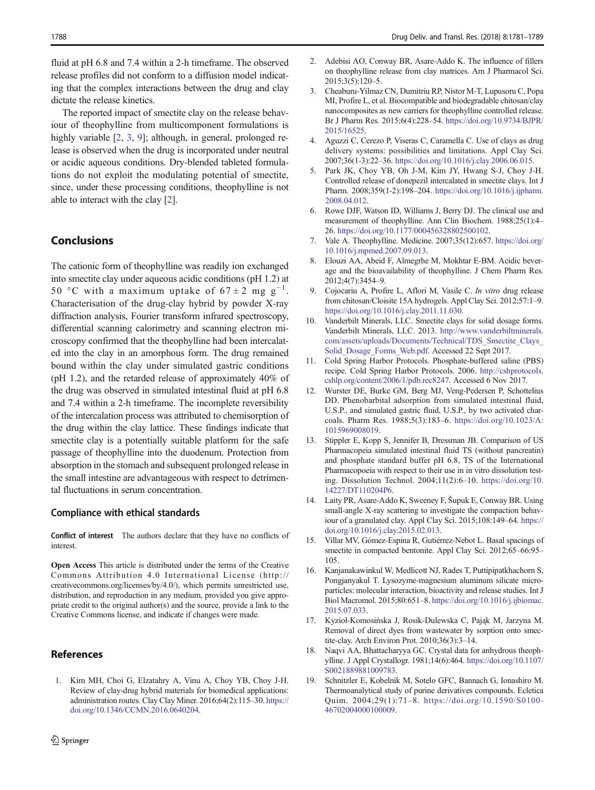<span id="page-8-0"></span>fluid at pH 6.8 and 7.4 within a 2-h timeframe. The observed release profiles did not conform to a diffusion model indicating that the complex interactions between the drug and clay dictate the release kinetics.

The reported impact of smectite clay on the release behaviour of theophylline from multicomponent formulations is highly variable [\[2](#page-7-0), [3,](#page-7-0) [9](#page-7-0)]; although, in general, prolonged release is observed when the drug is incorporated under neutral or acidic aqueous conditions. Dry-blended tableted formulations do not exploit the modulating potential of smectite, since, under these processing conditions, theophylline is not able to interact with the clay [\[2](#page-7-0)].

#### Conclusions

The cationic form of theophylline was readily ion exchanged into smectite clay under aqueous acidic conditions (pH 1.2) at 50 °C with a maximum uptake of  $67 \pm 2$  mg g<sup>-1</sup>. Characterisation of the drug-clay hybrid by powder X-ray diffraction analysis, Fourier transform infrared spectroscopy, differential scanning calorimetry and scanning electron microscopy confirmed that the theophylline had been intercalated into the clay in an amorphous form. The drug remained bound within the clay under simulated gastric conditions (pH 1.2), and the retarded release of approximately 40% of the drug was observed in simulated intestinal fluid at pH 6.8 and 7.4 within a 2-h timeframe. The incomplete reversibility of the intercalation process was attributed to chemisorption of the drug within the clay lattice. These findings indicate that smectite clay is a potentially suitable platform for the safe passage of theophylline into the duodenum. Protection from absorption in the stomach and subsequent prolonged release in the small intestine are advantageous with respect to detrimental fluctuations in serum concentration.

#### Compliance with ethical standards

Conflict of interest The authors declare that they have no conflicts of interest.

Open Access This article is distributed under the terms of the Creative Commons Attribution 4.0 International License (http:// creativecommons.org/licenses/by/4.0/), which permits unrestricted use, distribution, and reproduction in any medium, provided you give appropriate credit to the original author(s) and the source, provide a link to the Creative Commons license, and indicate if changes were made.

#### References

1. Kim MH, Choi G, Elzatahry A, Vinu A, Choy YB, Choy J-H. Review of clay-drug hybrid materials for biomedical applications: administration routes. Clay Clay Miner. 2016;64(2):115–30. [https://](https://doi.org/10.1346/CCMN.2016.0640204) [doi.org/10.1346/CCMN.2016.0640204.](https://doi.org/10.1346/CCMN.2016.0640204)

- 2. Adebisi AO, Conway BR, Asare-Addo K. The influence of fillers on theophylline release from clay matrices. Am J Pharmacol Sci. 2015;3(5):120–5.
- 3. Cheaburu-Yilmaz CN, Dumitriu RP, Nistor M-T, Lupusoru C, Popa MI, Profire L, et al. Biocompatible and biodegradable chitosan/clay nanocomposites as new carriers for theophylline controlled release. Br J Pharm Res. 2015;6(4):228–54. [https://doi.org/10.9734/BJPR/](https://doi.org/10.9734/BJPR/2015/16525) [2015/16525.](https://doi.org/10.9734/BJPR/2015/16525)
- 4. Aguzzi C, Cerezo P, Viseras C, Caramella C. Use of clays as drug delivery systems: possibilities and limitations. Appl Clay Sci. 2007;36(1-3):22–36. <https://doi.org/10.1016/j.clay.2006.06.015>.
- 5. Park JK, Choy YB, Oh J-M, Kim JY, Hwang S-J, Choy J-H. Controlled release of donepezil intercalated in smectite clays. Int J Pharm. 2008;359(1-2):198–204. [https://doi.org/10.1016/j.ijpharm.](https://doi.org/10.1016/j.ijpharm.2008.04.012) [2008.04.012.](https://doi.org/10.1016/j.ijpharm.2008.04.012)
- 6. Rowe DJF, Watson ID, Williams J, Berry DJ. The clinical use and measurement of theophylline. Ann Clin Biochem. 1988;25(1):4– 26. <https://doi.org/10.1177/000456328802500102>.
- 7. Vale A. Theophylline. Medicine. 2007;35(12):657. [https://doi.org/](https://doi.org/10.1016/j.mpmed.2007.09.013) [10.1016/j.mpmed.2007.09.013.](https://doi.org/10.1016/j.mpmed.2007.09.013)
- 8. Elouzi AA, Abeid F, Almegrhe M, Mokhtar E-BM. Acidic beverage and the bioavailability of theophylline. J Chem Pharm Res. 2012;4(7):3454–9.
- 9. Cojocariu A, Profire L, Aflori M, Vasile C. In vitro drug release from chitosan/Cloisite 15A hydrogels. Appl Clay Sci. 2012;57:1–9. <https://doi.org/10.1016/j.clay.2011.11.030>.
- 10. Vanderbilt Minerals, LLC. Smectite clays for solid dosage forms. Vanderbilt Minerals, LLC. 2013. [http://www.vanderbiltminerals.](http://www.vanderbiltminerals.com/assets/uploads/Documents/Technical/TDS_Smectite_Clays_Solid_Dosage_Forms_Web.pdf) [com/assets/uploads/Documents/Technical/TDS\\_Smectite\\_Clays\\_](http://www.vanderbiltminerals.com/assets/uploads/Documents/Technical/TDS_Smectite_Clays_Solid_Dosage_Forms_Web.pdf) [Solid\\_Dosage\\_Forms\\_Web.pdf](http://www.vanderbiltminerals.com/assets/uploads/Documents/Technical/TDS_Smectite_Clays_Solid_Dosage_Forms_Web.pdf). Accessed 22 Sept 2017.
- 11. Cold Spring Harbor Protocols. Phosphate-buffered saline (PBS) recipe. Cold Spring Harbor Protocols. 2006. [http://cshprotocols.](http://cshprotocols.cshlp.org/content/2006/1/pdb.rec8247) [cshlp.org/content/2006/1/pdb.rec8247](http://cshprotocols.cshlp.org/content/2006/1/pdb.rec8247). Accessed 6 Nov 2017.
- 12. Wurster DE, Burke GM, Berg MJ, Veng-Pedersen P, Schottelius DD. Phenobarbital adsorption from simulated intestinal fluid, U.S.P., and simulated gastric fluid, U.S.P., by two activated charcoals. Pharm Res. 1988;5(3):183–6. [https://doi.org/10.1023/A:](https://doi.org/10.1023/A:1015969008019) [1015969008019](https://doi.org/10.1023/A:1015969008019).
- 13. Stippler E, Kopp S, Jennifer B, Dressman JB. Comparison of US Pharmacopeia simulated intestinal fluid TS (without pancreatin) and phosphate standard buffer pH 6.8, TS of the International Pharmacopoeia with respect to their use in in vitro dissolution testing. Dissolution Technol. 2004;11(2):6–10. [https://doi.org/10.](https://doi.org/10.14227/DT110204P6) [14227/DT110204P6](https://doi.org/10.14227/DT110204P6).
- 14. Laity PR, Asare-Addo K, Sweeney F, Šupuk E, Conway BR. Using small-angle X-ray scattering to investigate the compaction behaviour of a granulated clay. Appl Clay Sci. 2015;108:149–64. [https://](https://doi.org/10.1016/j.clay.2015.02.013) [doi.org/10.1016/j.clay.2015.02.013](https://doi.org/10.1016/j.clay.2015.02.013).
- 15. Villar MV, Gómez-Espina R, Gutiérrez-Nebot L. Basal spacings of smectite in compacted bentonite. Appl Clay Sci. 2012;65–66:95– 105.
- 16. Kanjanakawinkul W, Medlicott NJ, Rades T, Puttipipatkhachorn S, Pongjanyakul T. Lysozyme-magnesium aluminum silicate microparticles: molecular interaction, bioactivity and release studies. Int J Biol Macromol. 2015;80:651–8. [https://doi.org/10.1016/j.ijbiomac.](https://doi.org/10.1016/j.ijbiomac.2015.07.033) [2015.07.033](https://doi.org/10.1016/j.ijbiomac.2015.07.033).
- 17. Kyzioł-Komosińska J, Rosik-Dulewska C, Pająk M, Jarzyna M. Removal of direct dyes from wastewater by sorption onto smectite-clay. Arch Environ Prot. 2010;36(3):3–14.
- 18. Naqvi AA, Bhattacharyya GC. Crystal data for anhydrous theophylline. J Appl Crystallogr. 1981;14(6):464. [https://doi.org/10.1107/](https://doi.org/10.1107/S0021889881009783) [S0021889881009783.](https://doi.org/10.1107/S0021889881009783)
- 19. Schnitzler E, Kobelnik M, Sotelo GFC, Bannach G, Ionashiro M. Thermoanalytical study of purine derivatives compounds. Ecletica Quim. 2004;29(1):71–8. [https://doi.org/10.1590/S0100-](https://doi.org/10.1590/S0100-46702004000100009) [46702004000100009](https://doi.org/10.1590/S0100-46702004000100009).